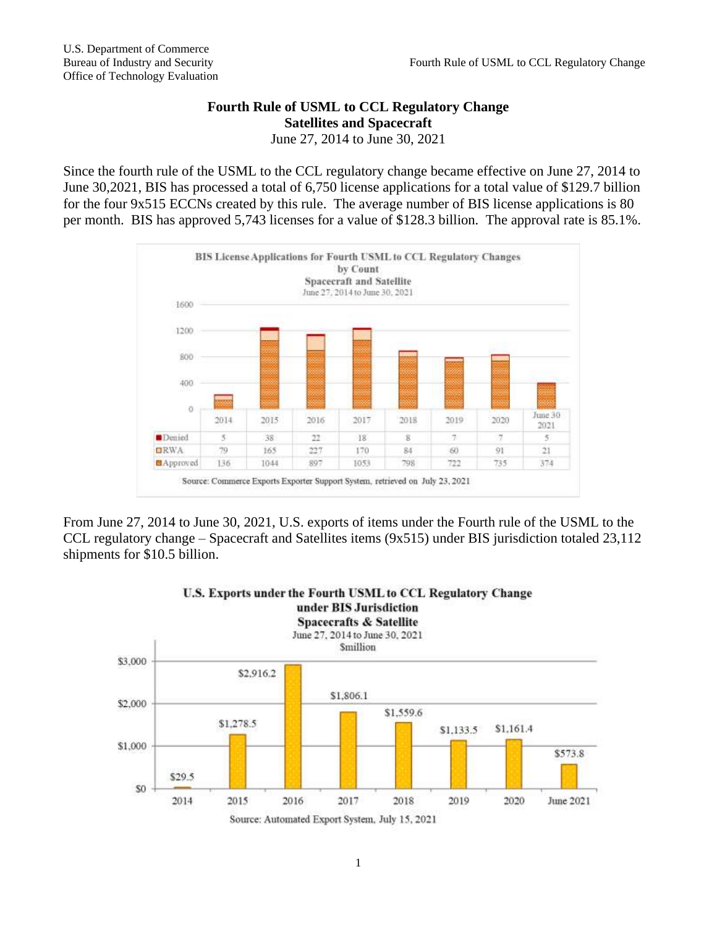## **Fourth Rule of USML to CCL Regulatory Change Satellites and Spacecraft**

June 27, 2014 to June 30, 2021

Since the fourth rule of the USML to the CCL regulatory change became effective on June 27, 2014 to June 30,2021, BIS has processed a total of 6,750 license applications for a total value of \$129.7 billion for the four 9x515 ECCNs created by this rule. The average number of BIS license applications is 80 per month. BIS has approved 5,743 licenses for a value of \$128.3 billion. The approval rate is 85.1%.



From June 27, 2014 to June 30, 2021, U.S. exports of items under the Fourth rule of the USML to the CCL regulatory change – Spacecraft and Satellites items (9x515) under BIS jurisdiction totaled 23,112 shipments for \$10.5 billion.

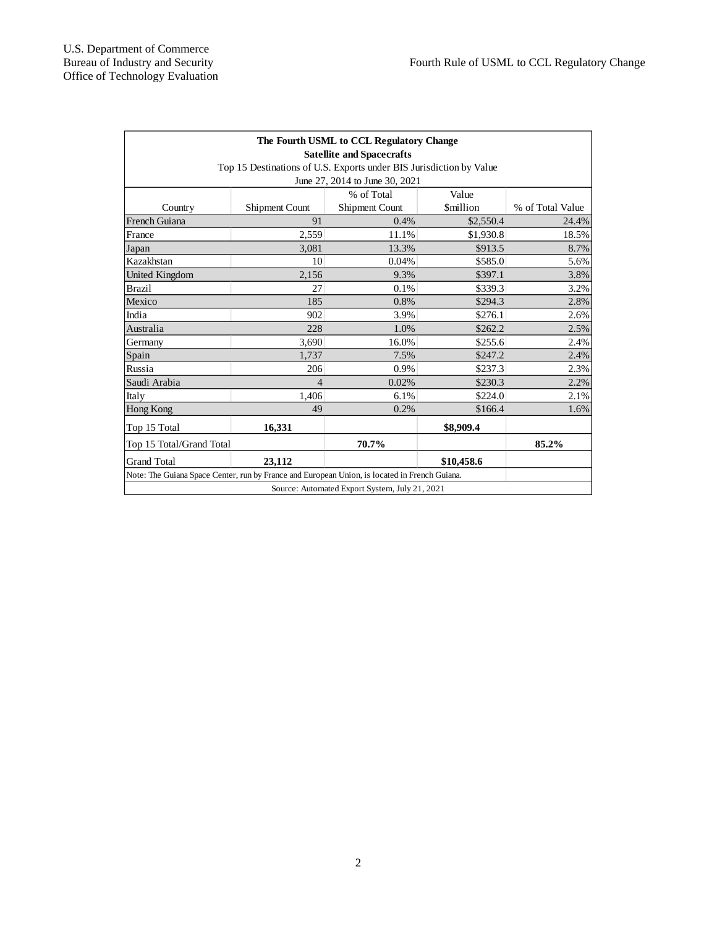| The Fourth USML to CCL Regulatory Change<br><b>Satellite and Spacecrafts</b>                  |                       |                |                 |                  |
|-----------------------------------------------------------------------------------------------|-----------------------|----------------|-----------------|------------------|
| Top 15 Destinations of U.S. Exports under BIS Jurisdiction by Value                           |                       |                |                 |                  |
| June 27, 2014 to June 30, 2021                                                                |                       |                |                 |                  |
|                                                                                               |                       | % of Total     | Value           |                  |
| Country                                                                                       | <b>Shipment Count</b> | Shipment Count | <b>Smillion</b> | % of Total Value |
| French Guiana                                                                                 | 91                    | 0.4%           | \$2,550.4       | 24.4%            |
| France                                                                                        | 2,559                 | 11.1%          | \$1,930.8       | 18.5%            |
| Japan                                                                                         | 3,081                 | 13.3%          | \$913.5         | 8.7%             |
| Kazakhstan                                                                                    | 10                    | 0.04%          | \$585.0         | 5.6%             |
| United Kingdom                                                                                | 2,156                 | 9.3%           | \$397.1         | 3.8%             |
| <b>Brazil</b>                                                                                 | 27                    | 0.1%           | \$339.3         | 3.2%             |
| Mexico                                                                                        | 185                   | 0.8%           | \$294.3         | 2.8%             |
| India                                                                                         | 902                   | 3.9%           | \$276.1         | 2.6%             |
| Australia                                                                                     | 228                   | 1.0%           | \$262.2         | 2.5%             |
| Germany                                                                                       | 3,690                 | 16.0%          | \$255.6         | 2.4%             |
| Spain                                                                                         | 1.737                 | 7.5%           | \$247.2         | 2.4%             |
| Russia                                                                                        | 206                   | 0.9%           | \$237.3         | 2.3%             |
| Saudi Arabia                                                                                  | 4                     | 0.02%          | \$230.3         | 2.2%             |
| Italy                                                                                         | 1,406                 | 6.1%           | \$224.0         | 2.1%             |
| Hong Kong                                                                                     | 49                    | 0.2%           | \$166.4         | 1.6%             |
| Top 15 Total                                                                                  | 16,331                |                | \$8,909.4       |                  |
| Top 15 Total/Grand Total                                                                      |                       | 70.7%          |                 | 85.2%            |
| <b>Grand Total</b>                                                                            | 23,112                |                | \$10,458.6      |                  |
| Note: The Guiana Space Center, run by France and European Union, is located in French Guiana. |                       |                |                 |                  |
| Source: Automated Export System, July 21, 2021                                                |                       |                |                 |                  |